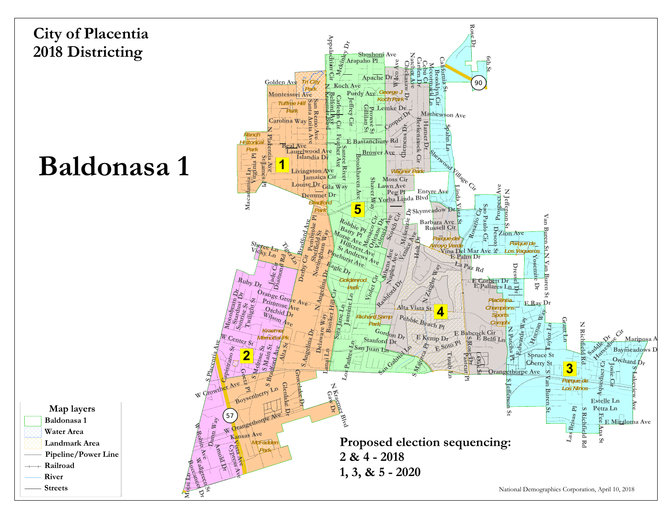